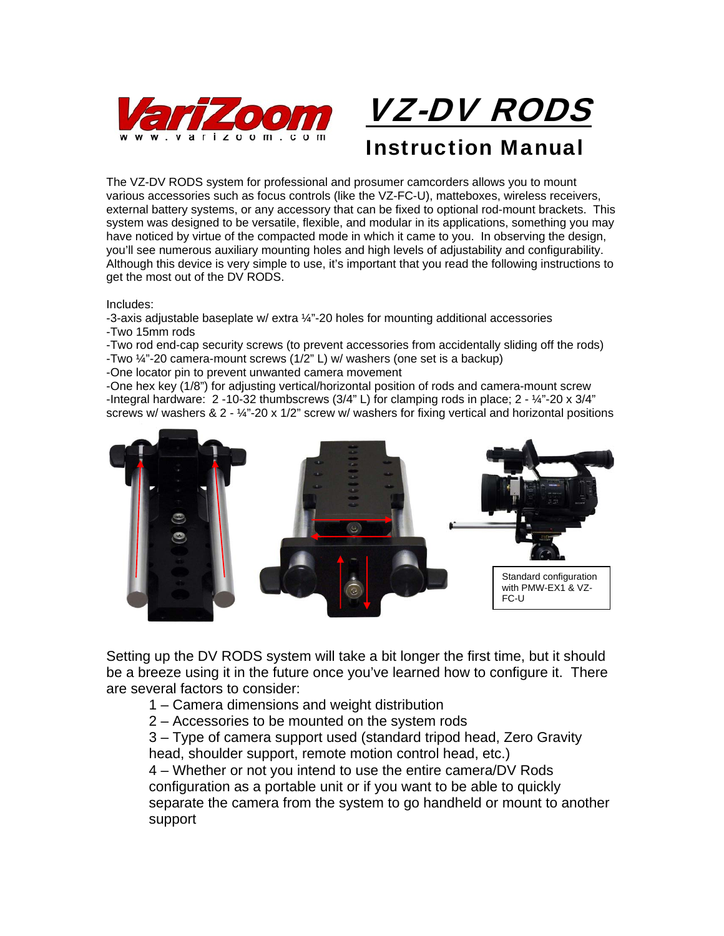



Instruction Manual

The VZ-DV RODS system for professional and prosumer camcorders allows you to mount various accessories such as focus controls (like the VZ-FC-U), matteboxes, wireless receivers, external battery systems, or any accessory that can be fixed to optional rod-mount brackets. This system was designed to be versatile, flexible, and modular in its applications, something you may have noticed by virtue of the compacted mode in which it came to you. In observing the design, you'll see numerous auxiliary mounting holes and high levels of adjustability and configurability. Although this device is very simple to use, it's important that you read the following instructions to get the most out of the DV RODS.

Includes:

-3-axis adjustable baseplate w/ extra  $\frac{1}{4}$ "-20 holes for mounting additional accessories -Two 15mm rods

-Two rod end-cap security screws (to prevent accessories from accidentally sliding off the rods) -Two ¼"-20 camera-mount screws (1/2" L) w/ washers (one set is a backup)

-One locator pin to prevent unwanted camera movement

-One hex key (1/8") for adjusting vertical/horizontal position of rods and camera-mount screw -Integral hardware:  $2 - 10 - 32$  thumbscrews  $(3/4$ " L) for clamping rods in place;  $2 - \frac{1}{4}$ "-20 x  $3/4$ " screws w/ washers  $\& 2 - \frac{1}{4}$  -20 x 1/2" screw w/ washers for fixing vertical and horizontal positions



Setting up the DV RODS system will take a bit longer the first time, but it should be a breeze using it in the future once you've learned how to configure it. There are several factors to consider:

- 1 Camera dimensions and weight distribution
- 2 Accessories to be mounted on the system rods

3 – Type of camera support used (standard tripod head, Zero Gravity head, shoulder support, remote motion control head, etc.)

4 – Whether or not you intend to use the entire camera/DV Rods configuration as a portable unit or if you want to be able to quickly separate the camera from the system to go handheld or mount to another support